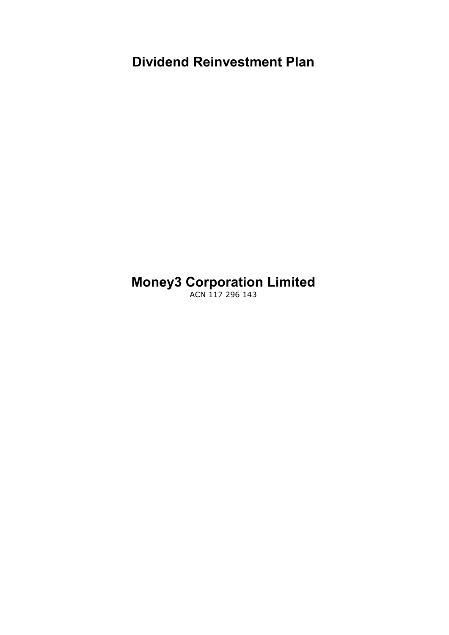**Dividend Reinvestment Plan**

# **Money3 Corporation Limited**

ACN 117 296 143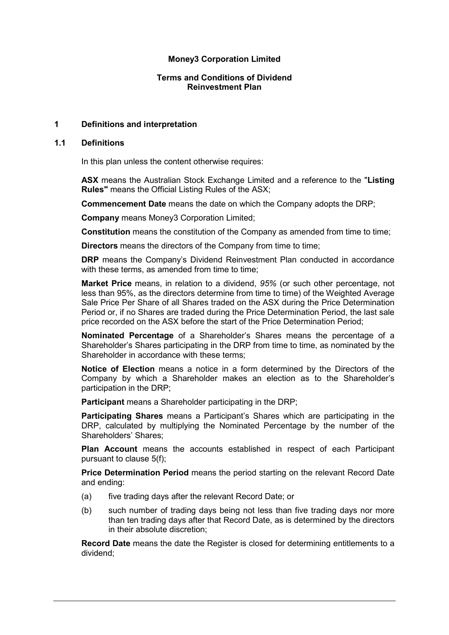# **Money3 Corporation Limited**

# **Terms and Conditions of Dividend Reinvestment Plan**

# **1 Definitions and interpretation**

#### **1.1 Definitions**

In this plan unless the content otherwise requires:

**ASX** means the Australian Stock Exchange Limited and a reference to the "**Listing Rules"** means the Official Listing Rules of the ASX;

**Commencement Date** means the date on which the Company adopts the DRP;

**Company** means Money3 Corporation Limited;

**Constitution** means the constitution of the Company as amended from time to time;

**Directors** means the directors of the Company from time to time;

**DRP** means the Company's Dividend Reinvestment Plan conducted in accordance with these terms, as amended from time to time:

**Market Price** means, in relation to a dividend, *95%* (or such other percentage, not less than 95%, as the directors determine from time to time) of the Weighted Average Sale Price Per Share of all Shares traded on the ASX during the Price Determination Period or, if no Shares are traded during the Price Determination Period, the last sale price recorded on the ASX before the start of the Price Determination Period;

**Nominated Percentage** of a Shareholder's Shares means the percentage of a Shareholder's Shares participating in the DRP from time to time, as nominated by the Shareholder in accordance with these terms;

**Notice of Election** means a notice in a form determined by the Directors of the Company by which a Shareholder makes an election as to the Shareholder's participation in the DRP;

**Participant** means a Shareholder participating in the DRP;

**Participating Shares** means a Participant's Shares which are participating in the DRP, calculated by multiplying the Nominated Percentage by the number of the Shareholders' Shares;

**Plan Account** means the accounts established in respect of each Participant pursuant to clause 5(f);

**Price Determination Period** means the period starting on the relevant Record Date and ending:

- (a) five trading days after the relevant Record Date; or
- (b) such number of trading days being not less than five trading days nor more than ten trading days after that Record Date, as is determined by the directors in their absolute discretion;

**Record Date** means the date the Register is closed for determining entitlements to a dividend;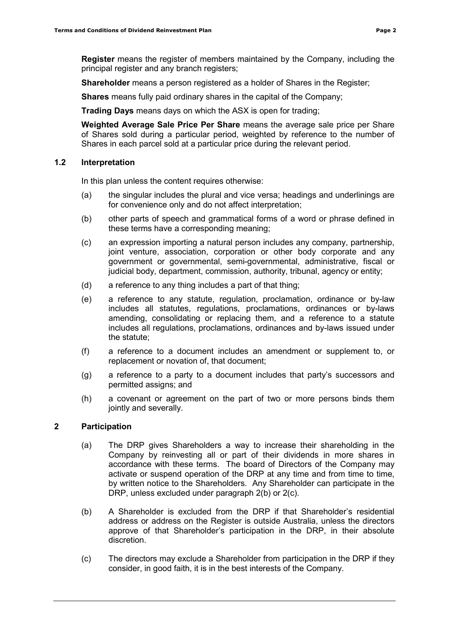**Register** means the register of members maintained by the Company, including the principal register and any branch registers;

**Shareholder** means a person registered as a holder of Shares in the Register;

**Shares** means fully paid ordinary shares in the capital of the Company;

**Trading Days** means days on which the ASX is open for trading;

**Weighted Average Sale Price Per Share** means the average sale price per Share of Shares sold during a particular period, weighted by reference to the number of Shares in each parcel sold at a particular price during the relevant period.

# **1.2 Interpretation**

In this plan unless the content requires otherwise:

- (a) the singular includes the plural and vice versa; headings and underlinings are for convenience only and do not affect interpretation;
- (b) other parts of speech and grammatical forms of a word or phrase defined in these terms have a corresponding meaning;
- (c) an expression importing a natural person includes any company, partnership, joint venture, association, corporation or other body corporate and any government or governmental, semi-governmental, administrative, fiscal or judicial body, department, commission, authority, tribunal, agency or entity;
- (d) a reference to any thing includes a part of that thing;
- (e) a reference to any statute, regulation, proclamation, ordinance or by-law includes all statutes, regulations, proclamations, ordinances or by-laws amending, consolidating or replacing them, and a reference to a statute includes all regulations, proclamations, ordinances and by-laws issued under the statute;
- (f) a reference to a document includes an amendment or supplement to, or replacement or novation of, that document;
- (g) a reference to a party to a document includes that party's successors and permitted assigns; and
- (h) a covenant or agreement on the part of two or more persons binds them jointly and severally.

# **2 Participation**

- (a) The DRP gives Shareholders a way to increase their shareholding in the Company by reinvesting all or part of their dividends in more shares in accordance with these terms. The board of Directors of the Company may activate or suspend operation of the DRP at any time and from time to time, by written notice to the Shareholders. Any Shareholder can participate in the DRP, unless excluded under paragraph 2(b) or 2(c).
- (b) A Shareholder is excluded from the DRP if that Shareholder's residential address or address on the Register is outside Australia, unless the directors approve of that Shareholder's participation in the DRP, in their absolute discretion.
- (c) The directors may exclude a Shareholder from participation in the DRP if they consider, in good faith, it is in the best interests of the Company.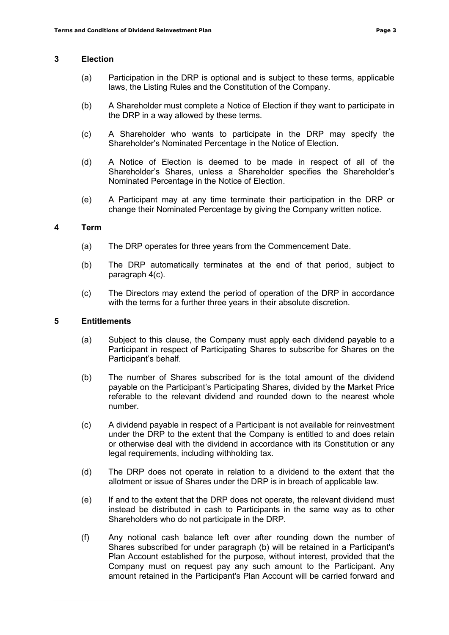### **3 Election**

- (a) Participation in the DRP is optional and is subject to these terms, applicable laws, the Listing Rules and the Constitution of the Company.
- (b) A Shareholder must complete a Notice of Election if they want to participate in the DRP in a way allowed by these terms.
- (c) A Shareholder who wants to participate in the DRP may specify the Shareholder's Nominated Percentage in the Notice of Election.
- (d) A Notice of Election is deemed to be made in respect of all of the Shareholder's Shares, unless a Shareholder specifies the Shareholder's Nominated Percentage in the Notice of Election.
- (e) A Participant may at any time terminate their participation in the DRP or change their Nominated Percentage by giving the Company written notice.

# **4 Term**

- (a) The DRP operates for three years from the Commencement Date.
- (b) The DRP automatically terminates at the end of that period, subject to paragraph 4(c).
- (c) The Directors may extend the period of operation of the DRP in accordance with the terms for a further three years in their absolute discretion.

#### **5 Entitlements**

- (a) Subject to this clause, the Company must apply each dividend payable to a Participant in respect of Participating Shares to subscribe for Shares on the Participant's behalf.
- (b) The number of Shares subscribed for is the total amount of the dividend payable on the Participant's Participating Shares, divided by the Market Price referable to the relevant dividend and rounded down to the nearest whole number.
- (c) A dividend payable in respect of a Participant is not available for reinvestment under the DRP to the extent that the Company is entitled to and does retain or otherwise deal with the dividend in accordance with its Constitution or any legal requirements, including withholding tax.
- (d) The DRP does not operate in relation to a dividend to the extent that the allotment or issue of Shares under the DRP is in breach of applicable law.
- (e) If and to the extent that the DRP does not operate, the relevant dividend must instead be distributed in cash to Participants in the same way as to other Shareholders who do not participate in the DRP.
- (f) Any notional cash balance left over after rounding down the number of Shares subscribed for under paragraph (b) will be retained in a Participant's Plan Account established for the purpose, without interest, provided that the Company must on request pay any such amount to the Participant. Any amount retained in the Participant's Plan Account will be carried forward and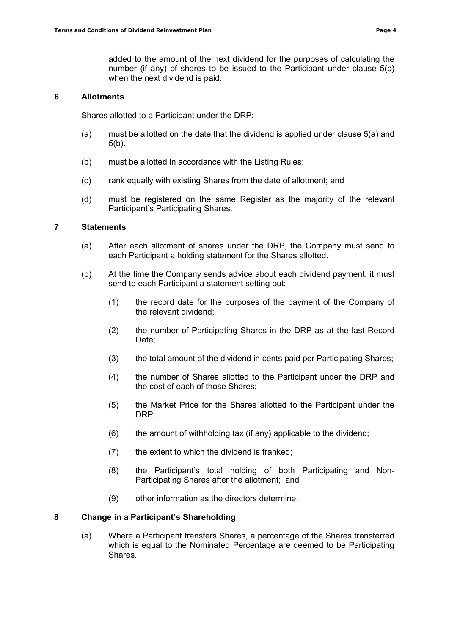added to the amount of the next dividend for the purposes of calculating the number (if any) of shares to be issued to the Participant under clause 5(b) when the next dividend is paid.

#### **6 Allotments**

Shares allotted to a Participant under the DRP:

- (a) must be allotted on the date that the dividend is applied under clause 5(a) and 5(b).
- (b) must be allotted in accordance with the Listing Rules;
- (c) rank equally with existing Shares from the date of allotment; and
- (d) must be registered on the same Register as the majority of the relevant Participant's Participating Shares.

#### **7 Statements**

- (a) After each allotment of shares under the DRP, the Company must send to each Participant a holding statement for the Shares allotted.
- (b) At the time the Company sends advice about each dividend payment, it must send to each Participant a statement setting out:
	- (1) the record date for the purposes of the payment of the Company of the relevant dividend;
	- (2) the number of Participating Shares in the DRP as at the last Record Date;
	- (3) the total amount of the dividend in cents paid per Participating Shares;
	- (4) the number of Shares allotted to the Participant under the DRP and the cost of each of those Shares;
	- (5) the Market Price for the Shares allotted to the Participant under the DRP;
	- $(6)$  the amount of withholding tax (if any) applicable to the dividend;
	- (7) the extent to which the dividend is franked;
	- (8) the Participant's total holding of both Participating and Non-Participating Shares after the allotment; and
	- (9) other information as the directors determine.

#### **8 Change in a Participant's Shareholding**

(a) Where a Participant transfers Shares, a percentage of the Shares transferred which is equal to the Nominated Percentage are deemed to be Participating Shares.